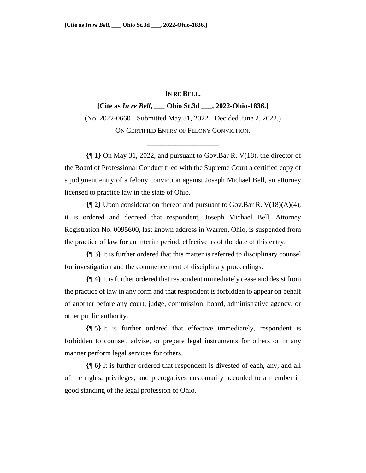## **IN RE BELL.**

**[Cite as** *In re Bell***,** *\_\_\_* **Ohio St.3d \_\_\_, 2022-Ohio-1836.]** (No. 2022-0660*—*Submitted May 31, 2022*—*Decided June 2, 2022.) ON CERTIFIED ENTRY OF FELONY CONVICTION.

\_\_\_\_\_\_\_\_\_\_\_\_\_\_\_\_\_\_\_\_

**{¶ 1}** On May 31, 2022, and pursuant to Gov.Bar R. V(18), the director of the Board of Professional Conduct filed with the Supreme Court a certified copy of a judgment entry of a felony conviction against Joseph Michael Bell, an attorney licensed to practice law in the state of Ohio.

**{¶ 2}** Upon consideration thereof and pursuant to Gov.Bar R. V(18)(A)(4), it is ordered and decreed that respondent, Joseph Michael Bell, Attorney Registration No. 0095600, last known address in Warren, Ohio, is suspended from the practice of law for an interim period, effective as of the date of this entry.

**{¶ 3}** It is further ordered that this matter is referred to disciplinary counsel for investigation and the commencement of disciplinary proceedings.

**{¶ 4}** It is further ordered that respondent immediately cease and desist from the practice of law in any form and that respondent is forbidden to appear on behalf of another before any court, judge, commission, board, administrative agency, or other public authority.

**{¶ 5}** It is further ordered that effective immediately, respondent is forbidden to counsel, advise, or prepare legal instruments for others or in any manner perform legal services for others.

**{¶ 6}** It is further ordered that respondent is divested of each, any, and all of the rights, privileges, and prerogatives customarily accorded to a member in good standing of the legal profession of Ohio.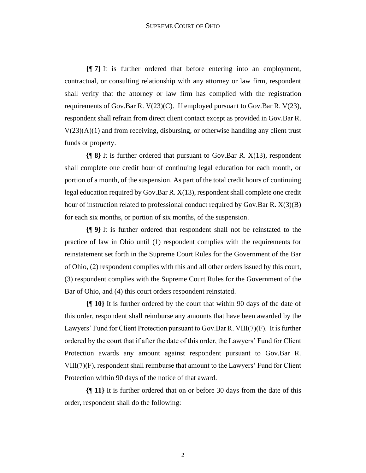**{¶ 7}** It is further ordered that before entering into an employment, contractual, or consulting relationship with any attorney or law firm, respondent shall verify that the attorney or law firm has complied with the registration requirements of Gov.Bar R. V(23)(C). If employed pursuant to Gov.Bar R. V(23), respondent shall refrain from direct client contact except as provided in Gov.Bar R.  $V(23)(A)(1)$  and from receiving, disbursing, or otherwise handling any client trust funds or property.

**{¶ 8}** It is further ordered that pursuant to Gov.Bar R. X(13), respondent shall complete one credit hour of continuing legal education for each month, or portion of a month, of the suspension. As part of the total credit hours of continuing legal education required by Gov.Bar R. X(13), respondent shall complete one credit hour of instruction related to professional conduct required by Gov.Bar R. X(3)(B) for each six months, or portion of six months, of the suspension.

**{¶ 9}** It is further ordered that respondent shall not be reinstated to the practice of law in Ohio until (1) respondent complies with the requirements for reinstatement set forth in the Supreme Court Rules for the Government of the Bar of Ohio, (2) respondent complies with this and all other orders issued by this court, (3) respondent complies with the Supreme Court Rules for the Government of the Bar of Ohio, and (4) this court orders respondent reinstated.

**{¶ 10}** It is further ordered by the court that within 90 days of the date of this order, respondent shall reimburse any amounts that have been awarded by the Lawyers' Fund for Client Protection pursuant to Gov.Bar R. VIII(7)(F). It is further ordered by the court that if after the date of this order, the Lawyers' Fund for Client Protection awards any amount against respondent pursuant to Gov.Bar R. VIII(7)(F), respondent shall reimburse that amount to the Lawyers' Fund for Client Protection within 90 days of the notice of that award.

**{¶ 11}** It is further ordered that on or before 30 days from the date of this order, respondent shall do the following: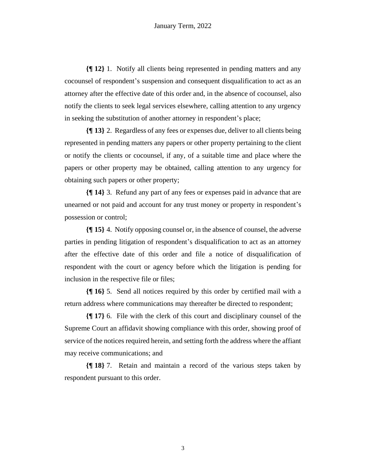**{¶ 12}** 1. Notify all clients being represented in pending matters and any cocounsel of respondent's suspension and consequent disqualification to act as an attorney after the effective date of this order and, in the absence of cocounsel, also notify the clients to seek legal services elsewhere, calling attention to any urgency in seeking the substitution of another attorney in respondent's place;

**{¶ 13}** 2. Regardless of any fees or expenses due, deliver to all clients being represented in pending matters any papers or other property pertaining to the client or notify the clients or cocounsel, if any, of a suitable time and place where the papers or other property may be obtained, calling attention to any urgency for obtaining such papers or other property;

**{¶ 14}** 3. Refund any part of any fees or expenses paid in advance that are unearned or not paid and account for any trust money or property in respondent's possession or control;

**{¶ 15}** 4. Notify opposing counsel or, in the absence of counsel, the adverse parties in pending litigation of respondent's disqualification to act as an attorney after the effective date of this order and file a notice of disqualification of respondent with the court or agency before which the litigation is pending for inclusion in the respective file or files;

**{¶ 16}** 5. Send all notices required by this order by certified mail with a return address where communications may thereafter be directed to respondent;

**{¶ 17}** 6. File with the clerk of this court and disciplinary counsel of the Supreme Court an affidavit showing compliance with this order, showing proof of service of the notices required herein, and setting forth the address where the affiant may receive communications; and

**{¶ 18}** 7. Retain and maintain a record of the various steps taken by respondent pursuant to this order.